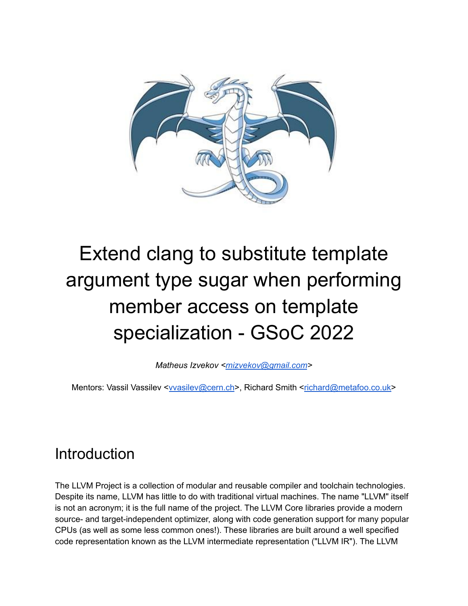

# Extend clang to substitute template argument type sugar when performing member access on template specialization - GSoC 2022

*Matheus Izvekov [<mizvekov@gmail.com](mailto:mizvekov@gmail.com)>*

Mentors: Vassil Vassilev <[vvasilev@cern.ch](mailto:vvasilev@cern.ch)>, Richard Smith [<richard@metafoo.co.uk>](mailto:richard@metafoo.co.uk)

## **Introduction**

The LLVM Project is a collection of modular and reusable compiler and toolchain technologies. Despite its name, LLVM has little to do with traditional virtual machines. The name "LLVM" itself is not an acronym; it is the full name of the project. The LLVM Core libraries provide a modern source- and target-independent optimizer, along with code generation support for many popular CPUs (as well as some less common ones!). These libraries are built around a well specified code representation known as the LLVM intermediate representation ("LLVM IR"). The LLVM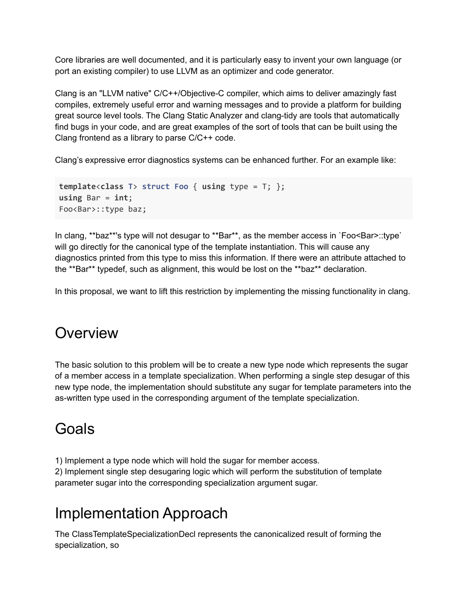Core libraries are well documented, and it is particularly easy to invent your own language (or port an existing compiler) to use LLVM as an optimizer and code generator.

Clang is an "LLVM native" C/C++/Objective-C compiler, which aims to deliver amazingly fast compiles, extremely useful error and warning messages and to provide a platform for building great source level tools. The Clang Static Analyzer and clang-tidy are tools that automatically find bugs in your code, and are great examples of the sort of tools that can be built using the Clang frontend as a library to parse C/C++ code.

Clang's expressive error diagnostics systems can be enhanced further. For an example like:

```
template<class T> struct Foo { using type = T; };
using Bar = int;
Foo<Bar>::type baz;
```
In clang, \*\*baz\*\*'s type will not desugar to \*\*Bar\*\*, as the member access in `Foo<Bar>::type` will go directly for the canonical type of the template instantiation. This will cause any diagnostics printed from this type to miss this information. If there were an attribute attached to the \*\*Bar\*\* typedef, such as alignment, this would be lost on the \*\*baz\*\* declaration.

In this proposal, we want to lift this restriction by implementing the missing functionality in clang.

### **Overview**

The basic solution to this problem will be to create a new type node which represents the sugar of a member access in a template specialization. When performing a single step desugar of this new type node, the implementation should substitute any sugar for template parameters into the as-written type used in the corresponding argument of the template specialization.

### Goals

1) Implement a type node which will hold the sugar for member access.

2) Implement single step desugaring logic which will perform the substitution of template parameter sugar into the corresponding specialization argument sugar.

#### Implementation Approach

The ClassTemplateSpecializationDecl represents the canonicalized result of forming the specialization, so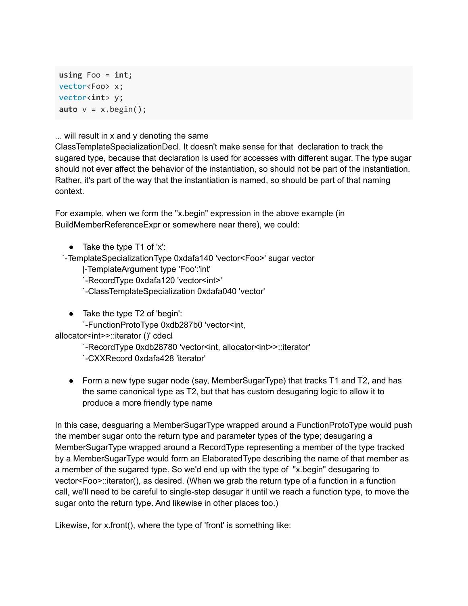```
using Foo = int;
vector<Foo> x;
vector<int> y;
auto v = x.begin();
```
... will result in x and y denoting the same

ClassTemplateSpecializationDecl. It doesn't make sense for that declaration to track the sugared type, because that declaration is used for accesses with different sugar. The type sugar should not ever affect the behavior of the instantiation, so should not be part of the instantiation. Rather, it's part of the way that the instantiation is named, so should be part of that naming context.

For example, when we form the "x.begin" expression in the above example (in BuildMemberReferenceExpr or somewhere near there), we could:

● Take the type T1 of 'x':

`-TemplateSpecializationType 0xdafa140 'vector<Foo>' sugar vector

|-TemplateArgument type 'Foo':'int'

`-RecordType 0xdafa120 'vector<int>'

`-ClassTemplateSpecialization 0xdafa040 'vector'

● Take the type T2 of 'begin':

`-FunctionProtoType 0xdb287b0 'vector<int,

allocator<int>>::iterator ()' cdecl

`-RecordType 0xdb28780 'vector<int, allocator<int>>::iterator' `-CXXRecord 0xdafa428 'iterator'

● Form a new type sugar node (say, MemberSugarType) that tracks T1 and T2, and has the same canonical type as T2, but that has custom desugaring logic to allow it to produce a more friendly type name

In this case, desguaring a MemberSugarType wrapped around a FunctionProtoType would push the member sugar onto the return type and parameter types of the type; desugaring a MemberSugarType wrapped around a RecordType representing a member of the type tracked by a MemberSugarType would form an ElaboratedType describing the name of that member as a member of the sugared type. So we'd end up with the type of "x.begin" desugaring to vector<Foo>::iterator(), as desired. (When we grab the return type of a function in a function call, we'll need to be careful to single-step desugar it until we reach a function type, to move the sugar onto the return type. And likewise in other places too.)

Likewise, for x.front(), where the type of 'front' is something like: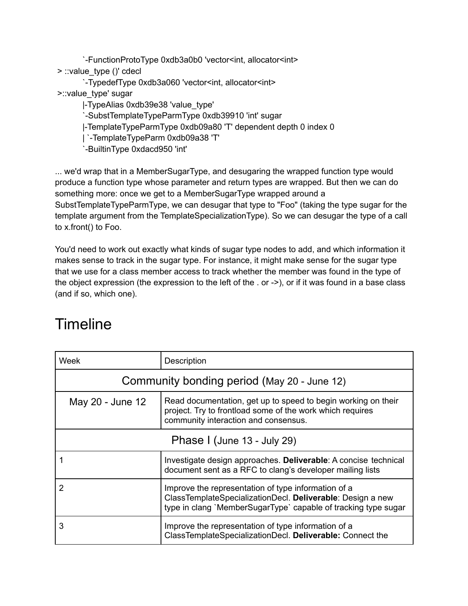`-FunctionProtoType 0xdb3a0b0 'vector<int, allocator<int> > ::value\_type ()' cdecl

`-TypedefType 0xdb3a060 'vector<int, allocator<int> >::value\_type' sugar

|-TypeAlias 0xdb39e38 'value\_type'

`-SubstTemplateTypeParmType 0xdb39910 'int' sugar

|-TemplateTypeParmType 0xdb09a80 'T' dependent depth 0 index 0

| `-TemplateTypeParm 0xdb09a38 'T'

`-BuiltinType 0xdacd950 'int'

... we'd wrap that in a MemberSugarType, and desugaring the wrapped function type would produce a function type whose parameter and return types are wrapped. But then we can do something more: once we get to a MemberSugarType wrapped around a SubstTemplateTypeParmType, we can desugar that type to "Foo" (taking the type sugar for the template argument from the TemplateSpecializationType). So we can desugar the type of a call to x.front() to Foo.

You'd need to work out exactly what kinds of sugar type nodes to add, and which information it makes sense to track in the sugar type. For instance, it might make sense for the sugar type that we use for a class member access to track whether the member was found in the type of the object expression (the expression to the left of the . or ->), or if it was found in a base class (and if so, which one).

#### Timeline

| Week                                        | Description                                                                                                                                                                         |
|---------------------------------------------|-------------------------------------------------------------------------------------------------------------------------------------------------------------------------------------|
| Community bonding period (May 20 - June 12) |                                                                                                                                                                                     |
| May 20 - June 12                            | Read documentation, get up to speed to begin working on their<br>project. Try to frontload some of the work which requires<br>community interaction and consensus.                  |
| Phase I (June 13 - July 29)                 |                                                                                                                                                                                     |
|                                             | Investigate design approaches. Deliverable: A concise technical<br>document sent as a RFC to clang's developer mailing lists                                                        |
| 2                                           | Improve the representation of type information of a<br>ClassTemplateSpecializationDecl. Deliverable: Design a new<br>type in clang `MemberSugarType` capable of tracking type sugar |
| 3                                           | Improve the representation of type information of a<br>ClassTemplateSpecializationDecl. Deliverable: Connect the                                                                    |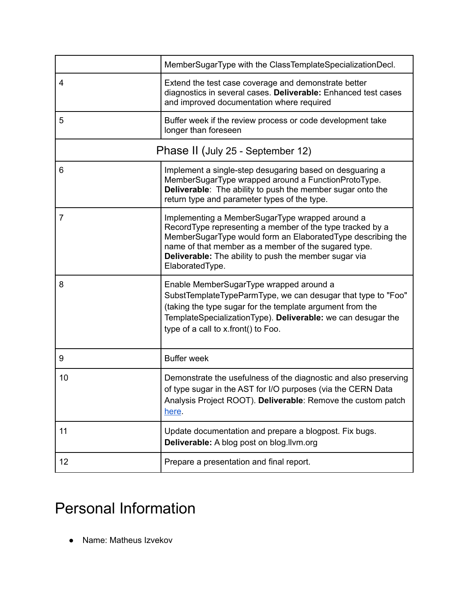|                                   | MemberSugarType with the ClassTemplateSpecializationDecl.                                                                                                                                                                                                                                                              |
|-----------------------------------|------------------------------------------------------------------------------------------------------------------------------------------------------------------------------------------------------------------------------------------------------------------------------------------------------------------------|
| 4                                 | Extend the test case coverage and demonstrate better<br>diagnostics in several cases. Deliverable: Enhanced test cases<br>and improved documentation where required                                                                                                                                                    |
| 5                                 | Buffer week if the review process or code development take<br>longer than foreseen                                                                                                                                                                                                                                     |
| Phase II (July 25 - September 12) |                                                                                                                                                                                                                                                                                                                        |
| 6                                 | Implement a single-step desugaring based on desguaring a<br>MemberSugarType wrapped around a FunctionProtoType.<br><b>Deliverable:</b> The ability to push the member sugar onto the<br>return type and parameter types of the type.                                                                                   |
| 7                                 | Implementing a MemberSugarType wrapped around a<br>RecordType representing a member of the type tracked by a<br>MemberSugarType would form an ElaboratedType describing the<br>name of that member as a member of the sugared type.<br><b>Deliverable:</b> The ability to push the member sugar via<br>ElaboratedType. |
| 8                                 | Enable MemberSugarType wrapped around a<br>SubstTemplateTypeParmType, we can desugar that type to "Foo"<br>(taking the type sugar for the template argument from the<br>TemplateSpecializationType). Deliverable: we can desugar the<br>type of a call to x.front() to Foo.                                            |
| 9                                 | <b>Buffer week</b>                                                                                                                                                                                                                                                                                                     |
| 10                                | Demonstrate the usefulness of the diagnostic and also preserving<br>of type sugar in the AST for I/O purposes (via the CERN Data<br>Analysis Project ROOT). Deliverable: Remove the custom patch<br>here.                                                                                                              |
| 11                                | Update documentation and prepare a blogpost. Fix bugs.<br>Deliverable: A blog post on blog.llvm.org                                                                                                                                                                                                                    |
| 12                                | Prepare a presentation and final report.                                                                                                                                                                                                                                                                               |

# Personal Information

● Name: Matheus Izvekov